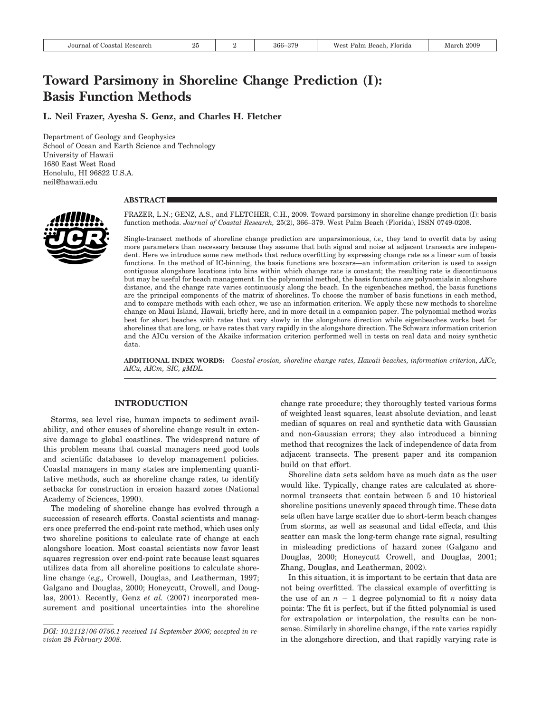# **Toward Parsimony in Shoreline Change Prediction (I): Basis Function Methods**

**L. Neil Frazer, Ayesha S. Genz, and Charles H. Fletcher**

Department of Geology and Geophysics School of Ocean and Earth Science and Technology University of Hawaii 1680 East West Road Honolulu, HI 96822 U.S.A. neil@hawaii.edu

**ABSTRACT**



FRAZER, L.N.; GENZ, A.S., and FLETCHER, C.H., 2009. Toward parsimony in shoreline change prediction (I): basis function methods. *Journal of Coastal Research,* 25(2), 366–379. West Palm Beach (Florida), ISSN 0749-0208.

Single-transect methods of shoreline change prediction are unparsimonious, *i.e.,* they tend to overfit data by using more parameters than necessary because they assume that both signal and noise at adjacent transects are independent. Here we introduce some new methods that reduce overfitting by expressing change rate as a linear sum of basis functions. In the method of IC-binning, the basis functions are boxcars—an information criterion is used to assign contiguous alongshore locations into bins within which change rate is constant; the resulting rate is discontinuous but may be useful for beach management. In the polynomial method, the basis functions are polynomials in alongshore distance, and the change rate varies continuously along the beach. In the eigenbeaches method, the basis functions are the principal components of the matrix of shorelines. To choose the number of basis functions in each method, and to compare methods with each other, we use an information criterion. We apply these new methods to shoreline change on Maui Island, Hawaii, briefly here, and in more detail in a companion paper. The polynomial method works best for short beaches with rates that vary slowly in the alongshore direction while eigenbeaches works best for shorelines that are long, or have rates that vary rapidly in the alongshore direction. The Schwarz information criterion and the AICu version of the Akaike information criterion performed well in tests on real data and noisy synthetic data.

**ADDITIONAL INDEX WORDS:** *Coastal erosion, shoreline change rates, Hawaii beaches, information criterion, AICc, AICu, AICm, SIC, gMDL.*

# **INTRODUCTION**

Storms, sea level rise, human impacts to sediment availability, and other causes of shoreline change result in extensive damage to global coastlines. The widespread nature of this problem means that coastal managers need good tools and scientific databases to develop management policies. Coastal managers in many states are implementing quantitative methods, such as shoreline change rates, to identify setbacks for construction in erosion hazard zones (National Academy of Sciences, 1990).

The modeling of shoreline change has evolved through a succession of research efforts. Coastal scientists and managers once preferred the end-point rate method, which uses only two shoreline positions to calculate rate of change at each alongshore location. Most coastal scientists now favor least squares regression over end-point rate because least squares utilizes data from all shoreline positions to calculate shoreline change (*e.g.,* Crowell, Douglas, and Leatherman, 1997; Galgano and Douglas, 2000; Honeycutt, Crowell, and Douglas, 2001). Recently, Genz *et al.* (2007) incorporated measurement and positional uncertainties into the shoreline

change rate procedure; they thoroughly tested various forms of weighted least squares, least absolute deviation, and least median of squares on real and synthetic data with Gaussian and non-Gaussian errors; they also introduced a binning method that recognizes the lack of independence of data from adjacent transects. The present paper and its companion build on that effort.

Shoreline data sets seldom have as much data as the user would like. Typically, change rates are calculated at shorenormal transects that contain between 5 and 10 historical shoreline positions unevenly spaced through time. These data sets often have large scatter due to short-term beach changes from storms, as well as seasonal and tidal effects, and this scatter can mask the long-term change rate signal, resulting in misleading predictions of hazard zones (Galgano and Douglas, 2000; Honeycutt Crowell, and Douglas, 2001; Zhang, Douglas, and Leatherman, 2002).

In this situation, it is important to be certain that data are not being overfitted. The classical example of overfitting is the use of an  $n-1$  degree polynomial to fit  $n$  noisy data points: The fit is perfect, but if the fitted polynomial is used for extrapolation or interpolation, the results can be nonsense. Similarly in shoreline change, if the rate varies rapidly in the alongshore direction, and that rapidly varying rate is

*DOI: 10.2112/06-0756.1 received 14 September 2006; accepted in revision 28 February 2008.*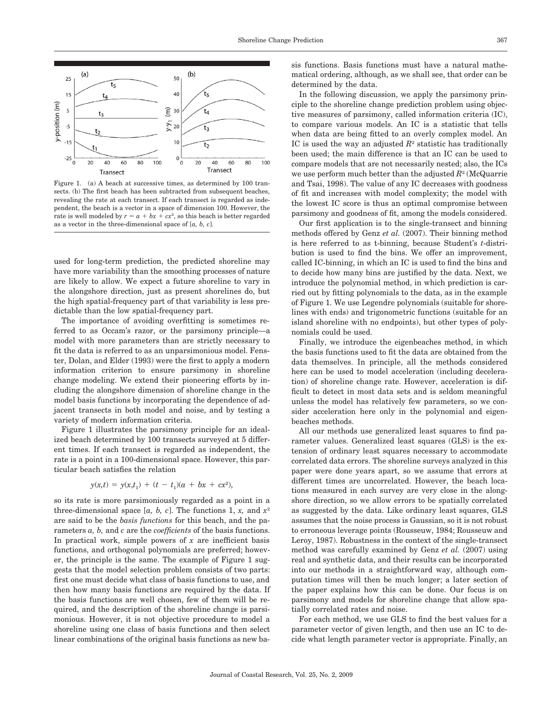

Figure 1. (a) A beach at successive times, as determined by 100 transects. (b) The first beach has been subtracted from subsequent beaches, revealing the rate at each transect. If each transect is regarded as independent, the beach is a vector in a space of dimension 100. However, the rate is well modeled by  $r = a + bx + cx^2$ , so this beach is better regarded as a vector in the three-dimensional space of [*a, b, c*].

used for long-term prediction, the predicted shoreline may have more variability than the smoothing processes of nature are likely to allow. We expect a future shoreline to vary in the alongshore direction, just as present shorelines do, but the high spatial-frequency part of that variability is less predictable than the low spatial-frequency part.

The importance of avoiding overfitting is sometimes referred to as Occam's razor, or the parsimony principle—a model with more parameters than are strictly necessary to fit the data is referred to as an unparsimonious model. Fenster, Dolan, and Elder (1993) were the first to apply a modern information criterion to ensure parsimony in shoreline change modeling. We extend their pioneering efforts by including the alongshore dimension of shoreline change in the model basis functions by incorporating the dependence of adjacent transects in both model and noise, and by testing a variety of modern information criteria.

Figure 1 illustrates the parsimony principle for an idealized beach determined by 100 transects surveyed at 5 different times. If each transect is regarded as independent, the rate is a point in a 100-dimensional space. However, this particular beach satisfies the relation

$$
y(x,t) = y(x,t_1) + (t - t_1)(a + bx + cx^2),
$$

so its rate is more parsimoniously regarded as a point in a three-dimensional space  $[a, b, c]$ . The functions 1, *x*, and  $x^2$ are said to be the *basis functions* for this beach, and the parameters *a, b,* and *c* are the *coefficients* of the basis functions. In practical work, simple powers of  $x$  are inefficient basis functions, and orthogonal polynomials are preferred; however, the principle is the same. The example of Figure 1 suggests that the model selection problem consists of two parts: first one must decide what class of basis functions to use, and then how many basis functions are required by the data. If the basis functions are well chosen, few of them will be required, and the description of the shoreline change is parsimonious. However, it is not objective procedure to model a shoreline using one class of basis functions and then select linear combinations of the original basis functions as new basis functions. Basis functions must have a natural mathematical ordering, although, as we shall see, that order can be determined by the data.

In the following discussion, we apply the parsimony principle to the shoreline change prediction problem using objective measures of parsimony, called information criteria (IC), to compare various models. An IC is a statistic that tells when data are being fitted to an overly complex model. An IC is used the way an adjusted  $R^2$  statistic has traditionally been used; the main difference is that an IC can be used to compare models that are not necessarily nested; also, the ICs we use perform much better than the adjusted  $R^2$  (McQuarrie and Tsai, 1998). The value of any IC decreases with goodness of fit and increases with model complexity; the model with the lowest IC score is thus an optimal compromise between parsimony and goodness of fit, among the models considered.

Our first application is to the single-transect and binning methods offered by Genz *et al.* (2007). Their binning method is here referred to as t-binning, because Student's *t*-distribution is used to find the bins. We offer an improvement, called IC-binning, in which an IC is used to find the bins and to decide how many bins are justified by the data. Next, we introduce the polynomial method, in which prediction is carried out by fitting polynomials to the data, as in the example of Figure 1. We use Legendre polynomials (suitable for shorelines with ends) and trigonometric functions (suitable for an island shoreline with no endpoints), but other types of polynomials could be used.

Finally, we introduce the eigenbeaches method, in which the basis functions used to fit the data are obtained from the data themselves. In principle, all the methods considered here can be used to model acceleration (including deceleration) of shoreline change rate. However, acceleration is difficult to detect in most data sets and is seldom meaningful unless the model has relatively few parameters, so we consider acceleration here only in the polynomial and eigenbeaches methods.

All our methods use generalized least squares to find parameter values. Generalized least squares (GLS) is the extension of ordinary least squares necessary to accommodate correlated data errors. The shoreline surveys analyzed in this paper were done years apart, so we assume that errors at different times are uncorrelated. However, the beach locations measured in each survey are very close in the alongshore direction, so we allow errors to be spatially correlated as suggested by the data. Like ordinary least squares, GLS assumes that the noise process is Gaussian, so it is not robust to erroneous leverage points (Rousseuw, 1984; Rousseuw and Leroy, 1987). Robustness in the context of the single-transect method was carefully examined by Genz *et al.* (2007) using real and synthetic data, and their results can be incorporated into our methods in a straightforward way, although computation times will then be much longer; a later section of the paper explains how this can be done. Our focus is on parsimony and models for shoreline change that allow spatially correlated rates and noise.

For each method, we use GLS to find the best values for a parameter vector of given length, and then use an IC to decide what length parameter vector is appropriate. Finally, an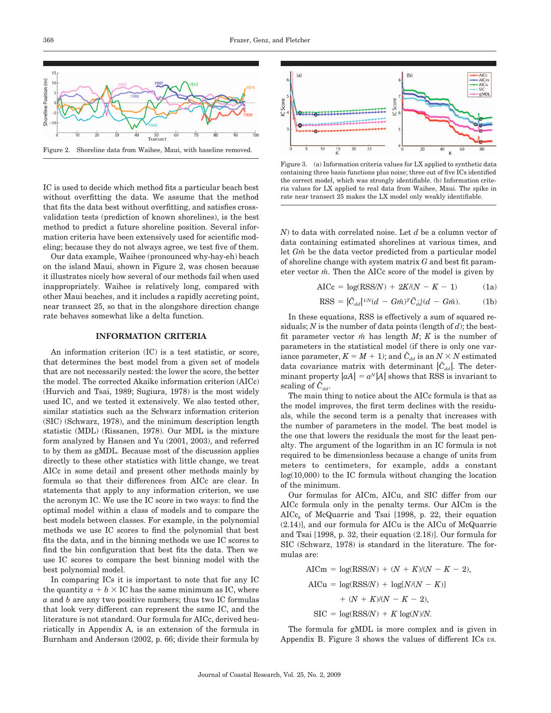

IC is used to decide which method fits a particular beach best without overfitting the data. We assume that the method that fits the data best without overfitting, and satisfies crossvalidation tests (prediction of known shorelines), is the best method to predict a future shoreline position. Several information criteria have been extensively used for scientific modeling; because they do not always agree, we test five of them.

Our data example, Waihee (pronounced why-hay-eh) beach on the island Maui, shown in Figure 2, was chosen because it illustrates nicely how several of our methods fail when used inappropriately. Waihee is relatively long, compared with other Maui beaches, and it includes a rapidly accreting point, near transect 25, so that in the alongshore direction change rate behaves somewhat like a delta function.

# **INFORMATION CRITERIA**

An information criterion (IC) is a test statistic, or score, that determines the best model from a given set of models that are not necessarily nested: the lower the score, the better the model. The corrected Akaike information criterion (AICc) (Hurvich and Tsai, 1989; Sugiura, 1978) is the most widely used IC, and we tested it extensively. We also tested other, similar statistics such as the Schwarz information criterion (SIC) (Schwarz, 1978), and the minimum description length statistic (MDL) (Rissanen, 1978). Our MDL is the mixture form analyzed by Hansen and Yu (2001, 2003), and referred to by them as gMDL. Because most of the discussion applies directly to these other statistics with little change, we treat AICc in some detail and present other methods mainly by formula so that their differences from AICc are clear. In statements that apply to any information criterion, we use the acronym IC. We use the IC score in two ways: to find the optimal model within a class of models and to compare the best models between classes. For example, in the polynomial methods we use IC scores to find the polynomial that best fits the data, and in the binning methods we use IC scores to find the bin configuration that best fits the data. Then we use IC scores to compare the best binning model with the best polynomial model.

In comparing ICs it is important to note that for any IC the quantity  $a + b \times \text{IC}$  has the same minimum as IC, where *a* and *b* are any two positive numbers; thus two IC formulas that look very different can represent the same IC, and the literature is not standard. Our formula for AICc, derived heuristically in Appendix A, is an extension of the formula in Burnham and Anderson (2002, p. 66; divide their formula by



Figure 3. (a) Information criteria values for LX applied to synthetic data containing three basis functions plus noise; three out of five ICs identified the correct model, which was strongly identifiable. (b) Information criteria values for LX applied to real data from Waihee, Maui. The spike in rate near transect 25 makes the LX model only weakly identifiable.

*N*) to data with correlated noise. Let *d* be a column vector of data containing estimated shorelines at various times, and let *Gmˆ* be the data vector predicted from a particular model of shoreline change with system matrix *G* and best fit parameter vector  $\hat{m}$ . Then the AICc score of the model is given by

$$
AICc = \log(RSS/N) + 2K/(N - K - 1)
$$
 (1a)

$$
RSS = |\tilde{C}_{dd}|^{1/N} (d - G\hat{m})^T \tilde{C}_{dd}^{-1} (d - G\hat{m}).
$$
 (1b)

In these equations, RSS is effectively a sum of squared residuals; *N* is the number of data points (length of *d*); the bestfit parameter vector  $\hat{m}$  has length  $M$ ;  $K$  is the number of parameters in the statistical model (if there is only one variance parameter,  $K = M + 1$ ; and  $\tilde{C}_{dd}$  is an  $N \times N$  estimated data covariance matrix with determinant  $|\tilde{C}_{dd}|$ . The determinant property  $|aA| = a^N |A|$  shows that RSS is invariant to scaling of  $\tilde{C}_{dd}$ .

The main thing to notice about the AICc formula is that as the model improves, the first term declines with the residuals, while the second term is a penalty that increases with the number of parameters in the model. The best model is the one that lowers the residuals the most for the least penalty. The argument of the logarithm in an IC formula is not required to be dimensionless because a change of units from meters to centimeters, for example, adds a constant log(10,000) to the IC formula without changing the location of the minimum.

Our formulas for AICm, AICu, and SIC differ from our AICc formula only in the penalty terms. Our AICm is the AICc*<sup>k</sup>* of McQuarrie and Tsai [1998, p. 22, their equation (2.14)], and our formula for AICu is the AICu of McQuarrie and Tsai [1998, p. 32, their equation (2.18)]. Our formula for SIC (Schwarz, 1978) is standard in the literature. The formulas are:

$$
AICm = \log(RSS/N) + (N + K)/(N - K - 2),
$$
  
 
$$
AICu = \log(RSS/N) + \log[N/(N - K)]
$$
  
 
$$
+ (N + K)/(N - K - 2),
$$
  
 
$$
SIC = \log(RSS/N) + K \log(N)/N.
$$

The formula for gMDL is more complex and is given in Appendix B. Figure 3 shows the values of different ICs *vs.*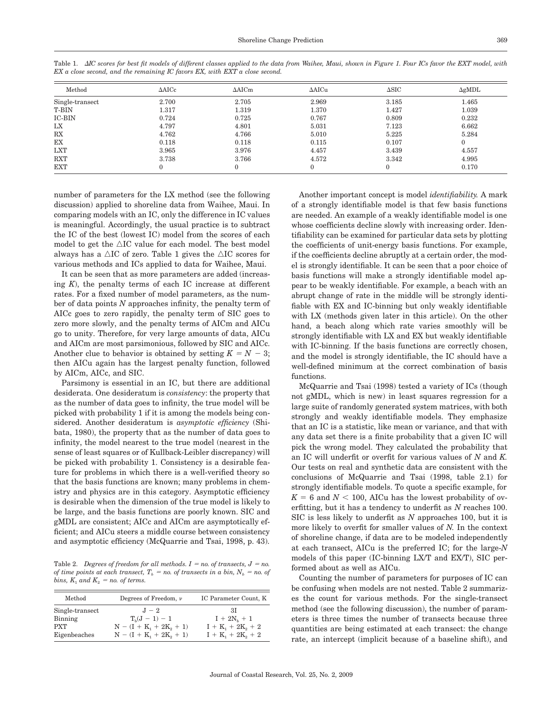| Method          | $\triangle AICc$ | $\Delta AICm$ | $\triangle$ AICu | $\Delta$ SIC | $\Delta$ g $MDL$ |
|-----------------|------------------|---------------|------------------|--------------|------------------|
| Single-transect | 2.700            | 2.705         | 2.969            | 3.185        | 1.465            |
| T-BIN           | 1.317            | 1.319         | 1.370            | 1.427        | 1.039            |
| IC-BIN          | 0.724            | 0.725         | 0.767            | 0.809        | 0.232            |
| LX              | 4.797            | 4.801         | 5.031            | 7.123        | 6.662            |
| RX              | 4.762            | 4.766         | 5.010            | 5.225        | 5.284            |
| EX              | 0.118            | 0.118         | 0.115            | 0.107        | $\Omega$         |
| LXT             | 3.965            | 3.976         | 4.457            | 3.439        | 4.557            |
| <b>RXT</b>      | 3.738            | 3.766         | 4.572            | 3.342        | 4.995            |
| <b>EXT</b>      |                  | 0             | 0                |              | 0.170            |

Table 1. *IC scores for best fit models of different classes applied to the data from Waihee, Maui, shown in Figure 1. Four ICs favor the EXT model, with EX a close second, and the remaining IC favors EX, with EXT a close second.*

number of parameters for the LX method (see the following discussion) applied to shoreline data from Waihee, Maui. In comparing models with an IC, only the difference in IC values is meaningful. Accordingly, the usual practice is to subtract the IC of the best (lowest IC) model from the scores of each model to get the  $\triangle$ IC value for each model. The best model always has a  $\triangle$ IC of zero. Table 1 gives the  $\triangle$ IC scores for various methods and ICs applied to data for Waihee, Maui.

It can be seen that as more parameters are added (increasing *K*), the penalty terms of each IC increase at different rates. For a fixed number of model parameters, as the number of data points *N* approaches infinity, the penalty term of AICc goes to zero rapidly, the penalty term of SIC goes to zero more slowly, and the penalty terms of AICm and AICu go to unity. Therefore, for very large amounts of data, AICu and AICm are most parsimonious, followed by SIC and AICc. Another clue to behavior is obtained by setting  $K = N - 3$ ; then AICu again has the largest penalty function, followed by AICm, AICc, and SIC.

Parsimony is essential in an IC, but there are additional desiderata. One desideratum is *consistency*: the property that as the number of data goes to infinity, the true model will be picked with probability 1 if it is among the models being considered. Another desideratum is *asymptotic efficiency* (Shibata, 1980), the property that as the number of data goes to infinity, the model nearest to the true model (nearest in the sense of least squares or of Kullback-Leibler discrepancy) will be picked with probability 1. Consistency is a desirable feature for problems in which there is a well-verified theory so that the basis functions are known; many problems in chemistry and physics are in this category. Asymptotic efficiency is desirable when the dimension of the true model is likely to be large, and the basis functions are poorly known. SIC and gMDL are consistent; AICc and AICm are asymptotically efficient; and AICu steers a middle course between consistency and asymptotic efficiency (McQuarrie and Tsai, 1998, p. 43).

Table 2. *Degrees of freedom for all methods.*  $I = no$ . of transects,  $J = no$ . *of time points at each transect,*  $T_b = n$ *o. of transects in a bin,*  $N_b = n$ *o. of bins,*  $K_1$  *and*  $K_2$  = *no. of terms.* 

| Method                                   | Degrees of Freedom, $\nu$                                   | IC Parameter Count, K                         |
|------------------------------------------|-------------------------------------------------------------|-----------------------------------------------|
| Single-transect<br>Binning<br><b>PXT</b> | $J - 2$<br>$T_{h}(J - 1) - 1$<br>$N - (I + K_1 + 2K_2 + 1)$ | -31<br>$I + 2N_h + 1$<br>$I + K_1 + 2K_2 + 2$ |
| Eigenbeaches                             | $N - (I + K_1 + 2K_2 + 1)$                                  | $I + K_1 + 2K_2 + 2$                          |

Another important concept is model *identifiability.* A mark of a strongly identifiable model is that few basis functions are needed. An example of a weakly identifiable model is one whose coefficients decline slowly with increasing order. Identifiability can be examined for particular data sets by plotting the coefficients of unit-energy basis functions. For example, if the coefficients decline abruptly at a certain order, the model is strongly identifiable. It can be seen that a poor choice of basis functions will make a strongly identifiable model appear to be weakly identifiable. For example, a beach with an abrupt change of rate in the middle will be strongly identifiable with EX and IC-binning but only weakly identifiable with LX (methods given later in this article). On the other hand, a beach along which rate varies smoothly will be strongly identifiable with LX and EX but weakly identifiable with IC-binning. If the basis functions are correctly chosen, and the model is strongly identifiable, the IC should have a well-defined minimum at the correct combination of basis functions.

McQuarrie and Tsai (1998) tested a variety of ICs (though not gMDL, which is new) in least squares regression for a large suite of randomly generated system matrices, with both strongly and weakly identifiable models. They emphasize that an IC is a statistic, like mean or variance, and that with any data set there is a finite probability that a given IC will pick the wrong model. They calculated the probability that an IC will underfit or overfit for various values of *N* and *K.* Our tests on real and synthetic data are consistent with the conclusions of McQuarrie and Tsai (1998, table 2.1) for strongly identifiable models. To quote a specific example, for  $K = 6$  and  $N < 100$ , AICu has the lowest probability of overfitting, but it has a tendency to underfit as *N* reaches 100. SIC is less likely to underfit as *N* approaches 100, but it is more likely to overfit for smaller values of *N.* In the context of shoreline change, if data are to be modeled independently at each transect, AICu is the preferred IC; for the large-*N* models of this paper (IC-binning LX/T and EX/T), SIC performed about as well as AICu.

Counting the number of parameters for purposes of IC can be confusing when models are not nested. Table 2 summarizes the count for various methods. For the single-transect method (see the following discussion), the number of parameters is three times the number of transects because three quantities are being estimated at each transect: the change rate, an intercept (implicit because of a baseline shift), and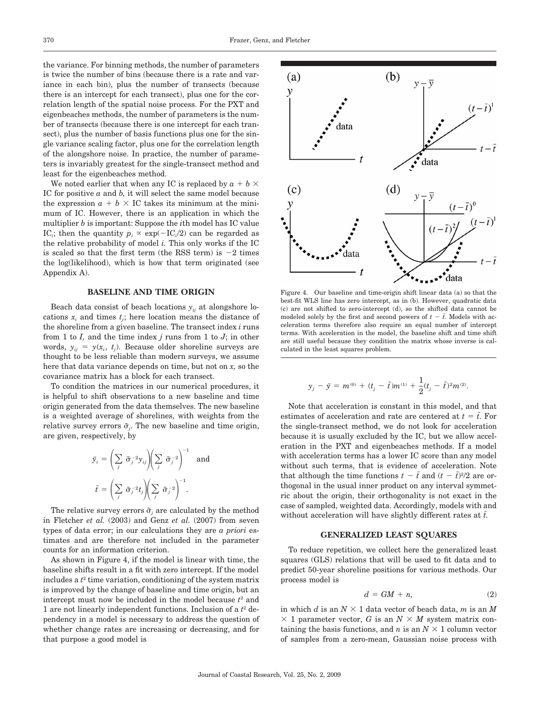the variance. For binning methods, the number of parameters is twice the number of bins (because there is a rate and variance in each bin), plus the number of transects (because there is an intercept for each transect), plus one for the correlation length of the spatial noise process. For the PXT and eigenbeaches methods, the number of parameters is the number of transects (because there is one intercept for each transect), plus the number of basis functions plus one for the single variance scaling factor, plus one for the correlation length of the alongshore noise. In practice, the number of parameters is invariably greatest for the single-transect method and least for the eigenbeaches method.

We noted earlier that when any IC is replaced by  $a + b \times$ IC for positive *a* and *b,* it will select the same model because the expression  $a + b \times \text{IC}$  takes its minimum at the minimum of IC. However, there is an application in which the multiplier *b* is important: Suppose the *i*th model has IC value IC<sub>*i*</sub>; then the quantity  $p_i \propto \exp(-IC_i/2)$  can be regarded as the relative probability of model *i.* This only works if the IC is scaled so that the first term (the RSS term) is  $-2$  times the log(likelihood), which is how that term originated (see Appendix A).

# **BASELINE AND TIME ORIGIN**

Beach data consist of beach locations  $y_{ij}$  at alongshore locations  $x_i$  and times  $t_j$ ; here location means the distance of the shoreline from a given baseline. The transect index *i* runs from 1 to *I,* and the time index *j* runs from 1 to *J*; in other words,  $y_{ij} = y(x_i, t_j)$ . Because older shoreline surveys are thought to be less reliable than modern surveys, we assume here that data variance depends on time, but not on *x,* so the covariance matrix has a block for each transect.

To condition the matrices in our numerical procedures, it is helpful to shift observations to a new baseline and time origin generated from the data themselves. The new baseline is a weighted average of shorelines, with weights from the relative survey errors  $\tilde{\sigma}_j$ . The new baseline and time origin, are given, respectively, by

$$
\bar{y}_i = \left(\sum_j \tilde{\sigma}_j^{-2} y_{ij}\right) \left(\sum_j \tilde{\sigma}_j^{-2}\right)^{-1} \text{ and}
$$

$$
\bar{t} = \left(\sum_j \tilde{\sigma}_j^{-2} t_j\right) \left(\sum_j \tilde{\sigma}_j^{-2}\right)^{-1}.
$$

The relative survey errors  $\tilde{\sigma}_j$  are calculated by the method in Fletcher *et al.* (2003) and Genz *et al.* (2007) from seven types of data error; in our calculations they are *a priori* estimates and are therefore not included in the parameter counts for an information criterion.

As shown in Figure 4, if the model is linear with time, the baseline shifts result in a fit with zero intercept. If the model includes a *t*<sup>2</sup> time variation, conditioning of the system matrix is improved by the change of baseline and time origin, but an intercept must now be included in the model because *t*<sup>2</sup> and 1 are not linearly independent functions. Inclusion of a *t*<sup>2</sup> dependency in a model is necessary to address the question of whether change rates are increasing or decreasing, and for that purpose a good model is



Figure 4. Our baseline and time-origin shift linear data (a) so that the best-fit WLS line has zero intercept, as in (b). However, quadratic data (c) are not shifted to zero-intercept (d), so the shifted data cannot be modeled solely by the first and second powers of  $t - \bar{t}$ . Models with acceleration terms therefore also require an equal number of intercept terms. With acceleration in the model, the baseline shift and time shift are still useful because they condition the matrix whose inverse is calculated in the least squares problem.

$$
y_j - \bar{y} = m^{(0)} + (t_j - \bar{t})m^{(1)} + \frac{1}{2}(t_j - \bar{t})^2m^{(2)}.
$$

Note that acceleration is constant in this model, and that estimates of acceleration and rate are centered at  $t = \bar{t}$ . For the single-transect method, we do not look for acceleration because it is usually excluded by the IC, but we allow acceleration in the PXT and eigenbeaches methods. If a model with acceleration terms has a lower IC score than any model without such terms, that is evidence of acceleration. Note that although the time functions  $t - \bar{t}$  and  $(t - \bar{t})^2/2$  are orthogonal in the usual inner product on any interval symmetric about the origin, their orthogonality is not exact in the case of sampled, weighted data. Accordingly, models with and without acceleration will have slightly different rates at  $\bar{t}$ *.* 

# **GENERALIZED LEAST SQUARES**

To reduce repetition, we collect here the generalized least squares (GLS) relations that will be used to fit data and to predict 50-year shoreline positions for various methods. Our process model is

$$
d = GM + n,\t\t(2)
$$

in which *d* is an  $N \times 1$  data vector of beach data, *m* is an *M*  $\times$  1 parameter vector, *G* is an  $N \times M$  system matrix containing the basis functions, and *n* is an  $N \times 1$  column vector of samples from a zero-mean, Gaussian noise process with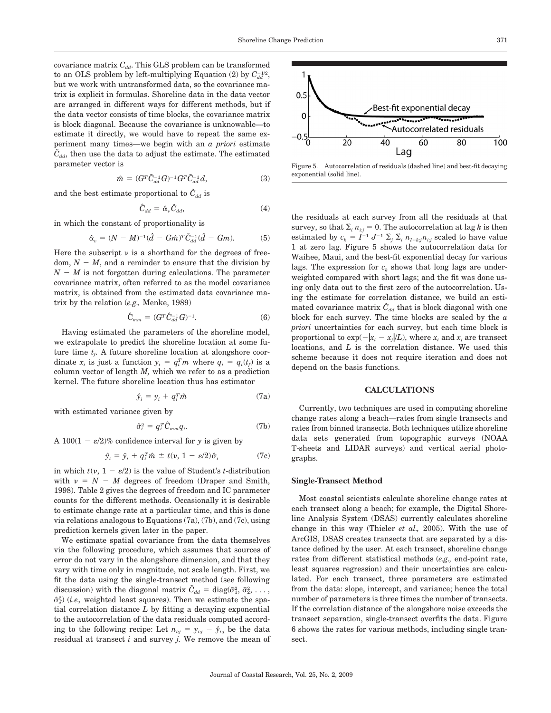covariance matrix  $C_{dd}$ . This GLS problem can be transformed to an OLS problem by left-multiplying Equation (2) by  $C_{dd}^{-1/2}$ , but we work with untransformed data, so the covariance matrix is explicit in formulas. Shoreline data in the data vector are arranged in different ways for different methods, but if the data vector consists of time blocks, the covariance matrix is block diagonal. Because the covariance is unknowable—to estimate it directly, we would have to repeat the same experiment many times—we begin with an *a priori* estimate  $\tilde{C}_{dd}$ , then use the data to adjust the estimate. The estimated parameter vector is

$$
\hat{m} = (G^T \tilde{C}_{dd}^{-1} G)^{-1} G^T \tilde{C}_{dd}^{-1} d, \tag{3}
$$

and the best estimate proportional to  $\tilde{C}_{dd}$  is

$$
\hat{C}_{dd} = \hat{\alpha}_{\nu} \tilde{C}_{dd},\tag{4}
$$

in which the constant of proportionality is

$$
\hat{\alpha}_v = (N - M)^{-1} (\hat{d} - G\hat{m})^T \tilde{C}_{dd}^{-1} (\hat{d} - Gm). \tag{5}
$$

Here the subscript  $\nu$  is a shorthand for the degrees of free $dom, N - M$ , and a reminder to ensure that the division by *N* - *M* is not forgotten during calculations. The parameter covariance matrix, often referred to as the model covariance matrix, is obtained from the estimated data covariance matrix by the relation (*e.g.,* Menke, 1989)

$$
\hat{\mathbf{C}}_{mm} = (G^T \hat{C}_{dd}^{-1} G)^{-1}.
$$
\n(6)

Having estimated the parameters of the shoreline model, we extrapolate to predict the shoreline location at some future time  $t_f$ . A future shoreline location at alongshore coordinate  $x_i$  is just a function  $y_i = q_i^T m$  where  $q_i = q_i(t_f)$  is a column vector of length *M,* which we refer to as a prediction kernel. The future shoreline location thus has estimator

$$
\hat{y}_i = y_i + q_i^T \hat{m} \tag{7a}
$$

with estimated variance given by

$$
\hat{\sigma}_i^2 = q_i^T \hat{C}_{mm} q_i. \tag{7b}
$$

A  $100(1 - \varepsilon/2)\%$  confidence interval for *y* is given by

$$
\hat{y}_i = \bar{y}_i + q_i^T \hat{m} \pm t(\nu, 1 - \varepsilon/2) \hat{\sigma}_i \tag{7c}
$$

in which  $t(v, 1 - \varepsilon/2)$  is the value of Student's *t*-distribution with  $v = N - M$  degrees of freedom (Draper and Smith, 1998). Table 2 gives the degrees of freedom and IC parameter counts for the different methods. Occasionally it is desirable to estimate change rate at a particular time, and this is done via relations analogous to Equations (7a), (7b), and (7c), using prediction kernels given later in the paper.

We estimate spatial covariance from the data themselves via the following procedure, which assumes that sources of error do not vary in the alongshore dimension, and that they vary with time only in magnitude, not scale length. First, we fit the data using the single-transect method (see following discussion) with the diagonal matrix  $\tilde{C}_{dd} = \text{diag}(\tilde{\sigma}_1^2, \tilde{\sigma}_2^2, \ldots,$  $\left(\hat{\sigma}_J^2\right)$  (*i.e.*, weighted least squares). Then we estimate the spatial correlation distance *L* by fitting a decaying exponential to the autocorrelation of the data residuals computed according to the following recipe: Let  $n_{ij} = y_{ij} - \hat{y}_{ij}$  be the data residual at transect *i* and survey *j.* We remove the mean of



Figure 5. Autocorrelation of residuals (dashed line) and best-fit decaying exponential (solid line).

the residuals at each survey from all the residuals at that survey, so that  $\Sigma_i n_{i,j} = 0$ . The autocorrelation at lag *k* is then estimated by  $c_k = I^{-1} J^{-1} \Sigma_j \Sigma_i n_{I+k;j} n_{ij}$  scaled to have value 1 at zero lag. Figure 5 shows the autocorrelation data for Waihee, Maui, and the best-fit exponential decay for various lags. The expression for  $c_k$  shows that long lags are underweighted compared with short lags; and the fit was done using only data out to the first zero of the autocorrelation. Using the estimate for correlation distance, we build an estimated covariance matrix  $\tilde{C}_{dd}$  that is block diagonal with one block for each survey. The time blocks are scaled by the *a priori* uncertainties for each survey, but each time block is proportional to  $\exp(-|x_i - x_j|/L)$ , where  $x_i$  and  $x_j$  are transect locations, and *L* is the correlation distance. We used this scheme because it does not require iteration and does not depend on the basis functions.

# **CALCULATIONS**

Currently, two techniques are used in computing shoreline change rates along a beach—rates from single transects and rates from binned transects. Both techniques utilize shoreline data sets generated from topographic surveys (NOAA T-sheets and LIDAR surveys) and vertical aerial photographs.

# **Single-Transect Method**

Most coastal scientists calculate shoreline change rates at each transect along a beach; for example, the Digital Shoreline Analysis System (DSAS) currently calculates shoreline change in this way (Thieler *et al.,* 2005). With the use of ArcGIS, DSAS creates transects that are separated by a distance defined by the user. At each transect, shoreline change rates from different statistical methods (*e.g.,* end-point rate, least squares regression) and their uncertainties are calculated. For each transect, three parameters are estimated from the data: slope, intercept, and variance; hence the total number of parameters is three times the number of transects. If the correlation distance of the alongshore noise exceeds the transect separation, single-transect overfits the data. Figure 6 shows the rates for various methods, including single transect.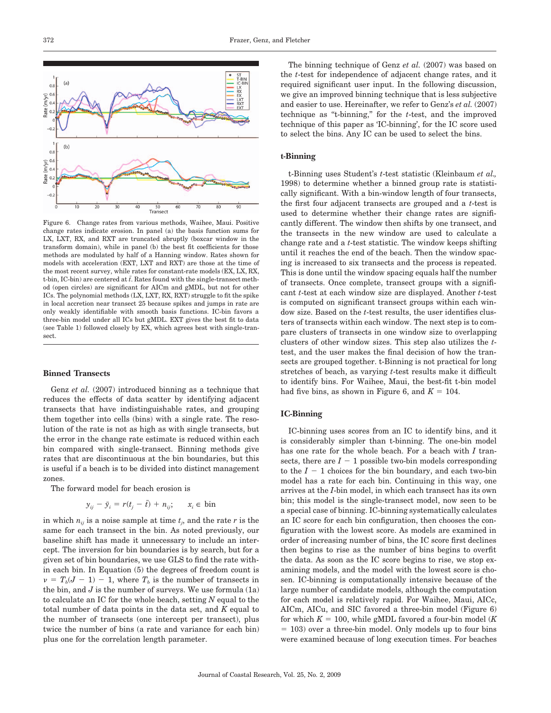

Figure 6. Change rates from various methods, Waihee, Maui. Positive change rates indicate erosion. In panel (a) the basis function sums for LX, LXT, RX, and RXT are truncated abruptly (boxcar window in the transform domain), while in panel (b) the best fit coefficients for those methods are modulated by half of a Hanning window. Rates shown for models with acceleration (EXT, LXT and RXT) are those at the time of the most recent survey, while rates for constant-rate models (EX, LX, RX, t-bin, IC-bin) are centered at  $\bar{t}$ . Rates found with the single-transect method (open circles) are significant for AICm and gMDL, but not for other ICs. The polynomial methods (LX, LXT, RX, RXT) struggle to fit the spike in local accretion near transect 25 because spikes and jumps in rate are only weakly identifiable with smooth basis functions. IC-bin favors a three-bin model under all ICs but gMDL. EXT gives the best fit to data (see Table 1) followed closely by EX, which agrees best with single-transect.

## **Binned Transects**

Genz *et al.* (2007) introduced binning as a technique that reduces the effects of data scatter by identifying adjacent transects that have indistinguishable rates, and grouping them together into cells (bins) with a single rate. The resolution of the rate is not as high as with single transects, but the error in the change rate estimate is reduced within each bin compared with single-transect. Binning methods give rates that are discontinuous at the bin boundaries, but this is useful if a beach is to be divided into distinct management zones.

The forward model for beach erosion is

$$
y_{ij} - \bar{y}_i = r(t_j - \bar{t}) + n_{ij}; \qquad x_i \in \text{bin}
$$

in which  $n_{ij}$  is a noise sample at time  $t_j$ , and the rate  $r$  is the same for each transect in the bin. As noted previously, our baseline shift has made it unnecessary to include an intercept. The inversion for bin boundaries is by search, but for a given set of bin boundaries, we use GLS to find the rate within each bin. In Equation (5) the degrees of freedom count is  $\nu = T_b(J - 1) - 1$ , where  $T_b$  is the number of transects in the bin, and  $J$  is the number of surveys. We use formula  $(1a)$ to calculate an IC for the whole beach, setting *N* equal to the total number of data points in the data set, and *K* equal to the number of transects (one intercept per transect), plus twice the number of bins (a rate and variance for each bin) plus one for the correlation length parameter.

The binning technique of Genz *et al.* (2007) was based on the *t*-test for independence of adjacent change rates, and it required significant user input. In the following discussion, we give an improved binning technique that is less subjective and easier to use. Hereinafter, we refer to Genz's *et al.* (2007) technique as ''t-binning,'' for the *t*-test, and the improved technique of this paper as 'IC-binning', for the IC score used to select the bins. Any IC can be used to select the bins.

# **t-Binning**

t-Binning uses Student's *t*-test statistic (Kleinbaum *et al.,* 1998) to determine whether a binned group rate is statistically significant. With a bin-window length of four transects, the first four adjacent transects are grouped and a *t*-test is used to determine whether their change rates are significantly different. The window then shifts by one transect, and the transects in the new window are used to calculate a change rate and a *t*-test statistic. The window keeps shifting until it reaches the end of the beach. Then the window spacing is increased to six transects and the process is repeated. This is done until the window spacing equals half the number of transects. Once complete, transect groups with a significant *t*-test at each window size are displayed. Another *t*-test is computed on significant transect groups within each window size. Based on the *t*-test results, the user identifies clusters of transects within each window. The next step is to compare clusters of transects in one window size to overlapping clusters of other window sizes. This step also utilizes the *t*test, and the user makes the final decision of how the transects are grouped together. t-Binning is not practical for long stretches of beach, as varying *t*-test results make it difficult to identify bins. For Waihee, Maui, the best-fit t-bin model had five bins, as shown in Figure 6, and  $K = 104$ .

#### **IC-Binning**

IC-binning uses scores from an IC to identify bins, and it is considerably simpler than t-binning. The one-bin model has one rate for the whole beach. For a beach with *I* transects, there are  $I-1$  possible two-bin models corresponding to the  $I - 1$  choices for the bin boundary, and each two-bin model has a rate for each bin. Continuing in this way, one arrives at the *I*-bin model, in which each transect has its own bin; this model is the single-transect model, now seen to be a special case of binning. IC-binning systematically calculates an IC score for each bin configuration, then chooses the configuration with the lowest score. As models are examined in order of increasing number of bins, the IC score first declines then begins to rise as the number of bins begins to overfit the data. As soon as the IC score begins to rise, we stop examining models, and the model with the lowest score is chosen. IC-binning is computationally intensive because of the large number of candidate models, although the computation for each model is relatively rapid. For Waihee, Maui, AICc, AICm, AICu, and SIC favored a three-bin model (Figure 6) for which  $K = 100$ , while gMDL favored a four-bin model ( $K$  $= 103$ ) over a three-bin model. Only models up to four bins were examined because of long execution times. For beaches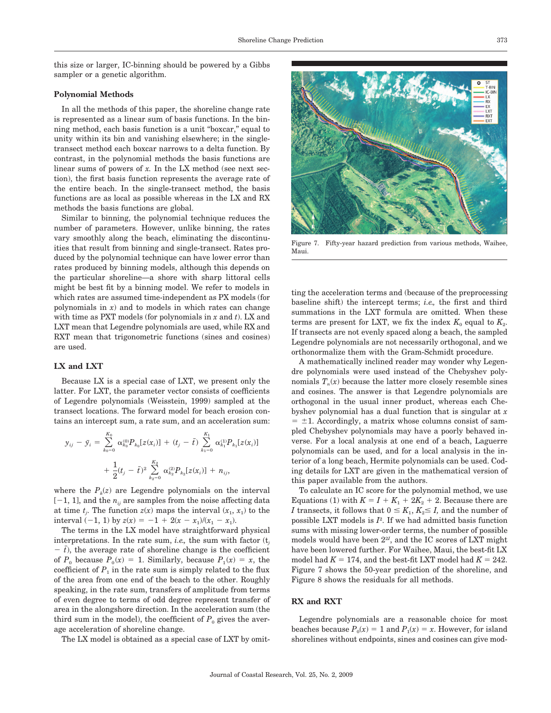this size or larger, IC-binning should be powered by a Gibbs sampler or a genetic algorithm.

#### **Polynomial Methods**

In all the methods of this paper, the shoreline change rate is represented as a linear sum of basis functions. In the binning method, each basis function is a unit ''boxcar,'' equal to unity within its bin and vanishing elsewhere; in the singletransect method each boxcar narrows to a delta function. By contrast, in the polynomial methods the basis functions are linear sums of powers of *x.* In the LX method (see next section), the first basis function represents the average rate of the entire beach. In the single-transect method, the basis functions are as local as possible whereas in the LX and RX methods the basis functions are global.

Similar to binning, the polynomial technique reduces the number of parameters. However, unlike binning, the rates vary smoothly along the beach, eliminating the discontinuities that result from binning and single-transect. Rates produced by the polynomial technique can have lower error than rates produced by binning models, although this depends on the particular shoreline—a shore with sharp littoral cells might be best fit by a binning model. We refer to models in which rates are assumed time-independent as PX models (for polynomials in  $x$ ) and to models in which rates can change with time as PXT models (for polynomials in *x* and *t*). LX and LXT mean that Legendre polynomials are used, while RX and RXT mean that trigonometric functions (sines and cosines) are used.

# **LX and LXT**

Because LX is a special case of LXT, we present only the latter. For LXT, the parameter vector consists of coefficients of Legendre polynomials (Weisstein, 1999) sampled at the transect locations. The forward model for beach erosion contains an intercept sum, a rate sum, and an acceleration sum:

$$
y_{ij} - \bar{y}_i = \sum_{k_0=0}^{K_0} \alpha_{k_0}^{(0)} P_{k_0}[z(x_i)] + (t_j - \bar{t}) \sum_{k_1=0}^{K_1} \alpha_{k_1}^{(1)} P_{k_1}[z(x_i)] + \frac{1}{2} (t_j - \bar{t})^2 \sum_{k_2=0}^{K_2} \alpha_{k_2}^{(2)} P_{k_2}[z(x_i)] + n_{ij},
$$

where the  $P_k(z)$  are Legendre polynomials on the interval  $[-1, 1]$ , and the  $n_{ij}$  are samples from the noise affecting data at time  $t_j$ . The function  $z(x)$  maps the interval  $(x_1, x_1)$  to the interval  $(-1, 1)$  by  $z(x) = -1 + 2(x - x_1)/(x_1 - x_1)$ .

The terms in the LX model have straightforward physical interpretations. In the rate sum, *i.e.,* the sum with factor (t*<sup>j</sup>*  $-\bar{t}$ , the average rate of shoreline change is the coefficient of  $P_0$  because  $P_0(x) = 1$ . Similarly, because  $P_1(x) = x$ , the coefficient of  $P_1$  in the rate sum is simply related to the flux of the area from one end of the beach to the other. Roughly speaking, in the rate sum, transfers of amplitude from terms of even degree to terms of odd degree represent transfer of area in the alongshore direction. In the acceleration sum (the third sum in the model), the coefficient of  $P_0$  gives the average acceleration of shoreline change.

The LX model is obtained as a special case of LXT by omit-

Figure 7. Fifty-year hazard prediction from various methods, Waihee, Maui.

ting the acceleration terms and (because of the preprocessing baseline shift) the intercept terms; *i.e.,* the first and third summations in the LXT formula are omitted. When these terms are present for LXT, we fix the index  $K_0$  equal to  $K_2$ . If transects are not evenly spaced along a beach, the sampled Legendre polynomials are not necessarily orthogonal, and we orthonormalize them with the Gram-Schmidt procedure.

A mathematically inclined reader may wonder why Legendre polynomials were used instead of the Chebyshev polynomials  $T_n(x)$  because the latter more closely resemble sines and cosines. The answer is that Legendre polynomials are orthogonal in the usual inner product, whereas each Chebyshev polynomial has a dual function that is singular at *x*  $= \pm 1$ . Accordingly, a matrix whose columns consist of sampled Chebyshev polynomials may have a poorly behaved inverse. For a local analysis at one end of a beach, Laguerre polynomials can be used, and for a local analysis in the interior of a long beach, Hermite polynomials can be used. Coding details for LXT are given in the mathematical version of this paper available from the authors.

To calculate an IC score for the polynomial method, we use Equations (1) with  $K = I + K_1 + 2K_2 + 2$ . Because there are *I* transects, it follows that  $0 \leq K_1, K_2 \leq I$ , and the number of possible LXT models is *I*2. If we had admitted basis function sums with missing lower-order terms, the number of possible models would have been  $2^{2I}$ , and the IC scores of LXT might have been lowered further. For Waihee, Maui, the best-fit LX model had  $K = 174$ , and the best-fit LXT model had  $K = 242$ . Figure 7 shows the 50-year prediction of the shoreline, and Figure 8 shows the residuals for all methods.

# **RX and RXT**

Legendre polynomials are a reasonable choice for most beaches because  $P_0(x) = 1$  and  $P_1(x) = x$ . However, for island shorelines without endpoints, sines and cosines can give mod-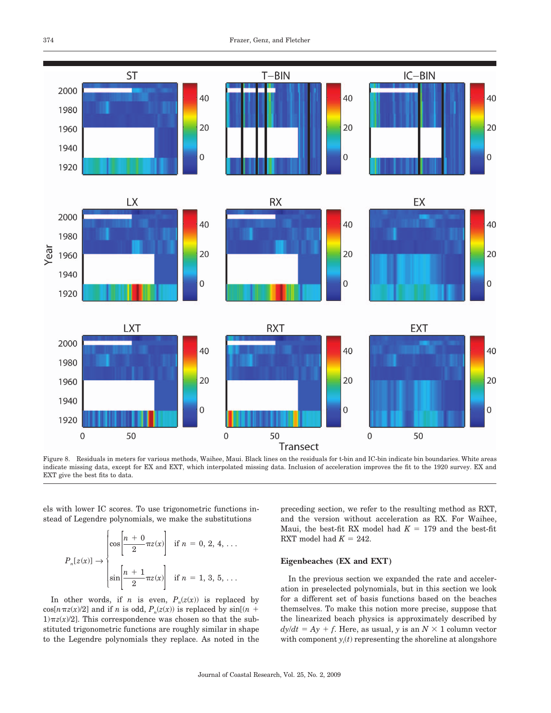

Figure 8. Residuals in meters for various methods, Waihee, Maui. Black lines on the residuals for t-bin and IC-bin indicate bin boundaries. White areas indicate missing data, except for EX and EXT, which interpolated missing data. Inclusion of acceleration improves the fit to the 1920 survey. EX and EXT give the best fits to data.

els with lower IC scores. To use trigonometric functions instead of Legendre polynomials, we make the substitutions

$$
P_n[z(x)] \to \begin{cases} \cos\left[\frac{n+0}{2}\pi z(x)\right] & \text{if } n = 0, 2, 4, \dots \\ \sin\left[\frac{n+1}{2}\pi z(x)\right] & \text{if } n = 1, 3, 5, \dots \end{cases}
$$

In other words, if *n* is even,  $P_n(z(x))$  is replaced by  $\cos[n\pi z(x)/2]$  and if *n* is odd,  $P_n(z(x))$  is replaced by  $\sin[(n +$  $1)\pi z(x)/2$ . This correspondence was chosen so that the substituted trigonometric functions are roughly similar in shape to the Legendre polynomials they replace. As noted in the

preceding section, we refer to the resulting method as RXT, and the version without acceleration as RX. For Waihee, Maui, the best-fit RX model had  $K = 179$  and the best-fit RXT model had  $K = 242$ .

# **Eigenbeaches (EX and EXT)**

In the previous section we expanded the rate and acceleration in preselected polynomials, but in this section we look for a different set of basis functions based on the beaches themselves. To make this notion more precise, suppose that the linearized beach physics is approximately described by  $dy/dt = Ay + f$ . Here, as usual, *y* is an  $N \times 1$  column vector with component  $y_i(t)$  representing the shoreline at alongshore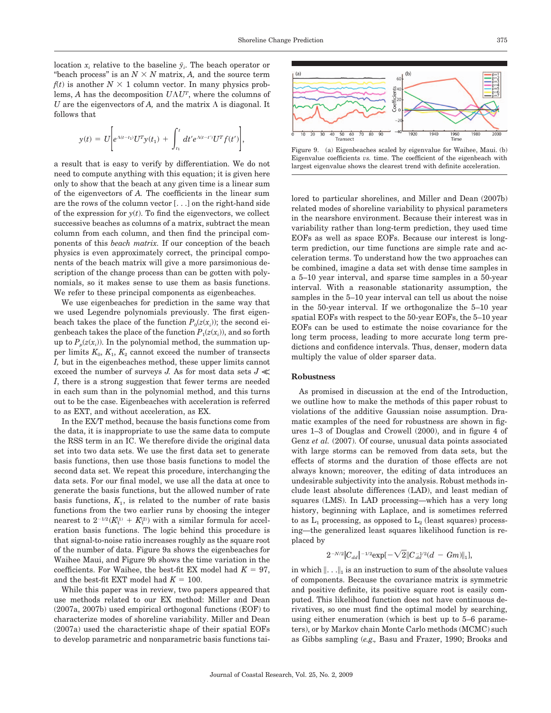location  $x_i$  relative to the baseline  $\bar{y}_i$ . The beach operator or "beach process" is an  $N \times N$  matrix,  $A$ , and the source term  $f(t)$  is another  $N \times 1$  column vector. In many physics problems,  $A$  has the decomposition  $U\Lambda U^{T}$ , where the columns of *U* are the eigenvectors of *A*, and the matrix  $\Lambda$  is diagonal. It follows that

$$
y(t) = U\left[e^{\Lambda(t-t_1)}U^T y(t_1) + \int_{t_1}^t dt' e^{\Lambda(t-t')}U^T f(t')\right],
$$

a result that is easy to verify by differentiation. We do not need to compute anything with this equation; it is given here only to show that the beach at any given time is a linear sum of the eigenvectors of *A.* The coefficients in the linear sum are the rows of the column vector [. . .] on the right-hand side of the expression for  $y(t)$ . To find the eigenvectors, we collect successive beaches as columns of a matrix, subtract the mean column from each column, and then find the principal components of this *beach matrix.* If our conception of the beach physics is even approximately correct, the principal components of the beach matrix will give a more parsimonious description of the change process than can be gotten with polynomials, so it makes sense to use them as basis functions. We refer to these principal components as eigenbeaches.

We use eigenbeaches for prediction in the same way that we used Legendre polynomials previously. The first eigenbeach takes the place of the function  $P_0(z(x_i))$ ; the second eigenbeach takes the place of the function  $P_1(z(x_i))$ , and so forth up to  $P_p(z(x_i))$ . In the polynomial method, the summation upper limits  $K_0$ ,  $K_1$ ,  $K_2$  cannot exceed the number of transects *I,* but in the eigenbeaches method, these upper limits cannot exceed the number of surveys *J*. As for most data sets  $J \ll$ *I*, there is a strong suggestion that fewer terms are needed in each sum than in the polynomial method, and this turns out to be the case. Eigenbeaches with acceleration is referred to as EXT, and without acceleration, as EX.

In the EX/T method, because the basis functions come from the data, it is inappropriate to use the same data to compute the RSS term in an IC. We therefore divide the original data set into two data sets. We use the first data set to generate basis functions, then use those basis functions to model the second data set. We repeat this procedure, interchanging the data sets. For our final model, we use all the data at once to generate the basis functions, but the allowed number of rate basis functions,  $K_1$ , is related to the number of rate basis functions from the two earlier runs by choosing the integer nearest to  $2^{-1/2}(K_1^{(1)} + K_1^{(2)})$  with a similar formula for acceleration basis functions. The logic behind this procedure is that signal-to-noise ratio increases roughly as the square root of the number of data. Figure 9a shows the eigenbeaches for Waihee Maui, and Figure 9b shows the time variation in the coefficients. For Waihee, the best-fit EX model had  $K = 97$ , and the best-fit EXT model had  $K = 100$ .

While this paper was in review, two papers appeared that use methods related to our EX method: Miller and Dean (2007a, 2007b) used empirical orthogonal functions (EOF) to characterize modes of shoreline variability. Miller and Dean (2007a) used the characteristic shape of their spatial EOFs to develop parametric and nonparametric basis functions tai-



Figure 9. (a) Eigenbeaches scaled by eigenvalue for Waihee, Maui. (b) Eigenvalue coefficients *vs.* time. The coefficient of the eigenbeach with largest eigenvalue shows the clearest trend with definite acceleration.

lored to particular shorelines, and Miller and Dean (2007b) related modes of shoreline variability to physical parameters in the nearshore environment. Because their interest was in variability rather than long-term prediction, they used time EOFs as well as space EOFs. Because our interest is longterm prediction, our time functions are simple rate and acceleration terms. To understand how the two approaches can be combined, imagine a data set with dense time samples in a 5–10 year interval, and sparse time samples in a 50-year interval. With a reasonable stationarity assumption, the samples in the 5–10 year interval can tell us about the noise in the 50-year interval. If we orthogonalize the 5–10 year spatial EOFs with respect to the 50-year EOFs, the 5–10 year EOFs can be used to estimate the noise covariance for the long term process, leading to more accurate long term predictions and confidence intervals. Thus, denser, modern data multiply the value of older sparser data.

#### **Robustness**

As promised in discussion at the end of the Introduction, we outline how to make the methods of this paper robust to violations of the additive Gaussian noise assumption. Dramatic examples of the need for robustness are shown in figures 1–3 of Douglas and Crowell (2000), and in figure 4 of Genz *et al.* (2007). Of course, unusual data points associated with large storms can be removed from data sets, but the effects of storms and the duration of those effects are not always known; moreover, the editing of data introduces an undesirable subjectivity into the analysis. Robust methods include least absolute differences (LAD), and least median of squares (LMS). In LAD processing—which has a very long history, beginning with Laplace, and is sometimes referred to as  $L_1$  processing, as opposed to  $L_2$  (least squares) processing—the generalized least squares likelihood function is replaced by

$$
2^{-N/2} |C_{dd}|^{-1/2} \text{exp}[{-\sqrt{2}\|C_{dd}^{-1/2}(d\,-\,Gm)\|_1}],
$$

in which  $\| \ldots \|_1$  is an instruction to sum of the absolute values of components. Because the covariance matrix is symmetric and positive definite, its positive square root is easily computed. This likelihood function does not have continuous derivatives, so one must find the optimal model by searching, using either enumeration (which is best up to 5–6 parameters), or by Markov chain Monte Carlo methods (MCMC) such as Gibbs sampling (*e.g.,* Basu and Frazer, 1990; Brooks and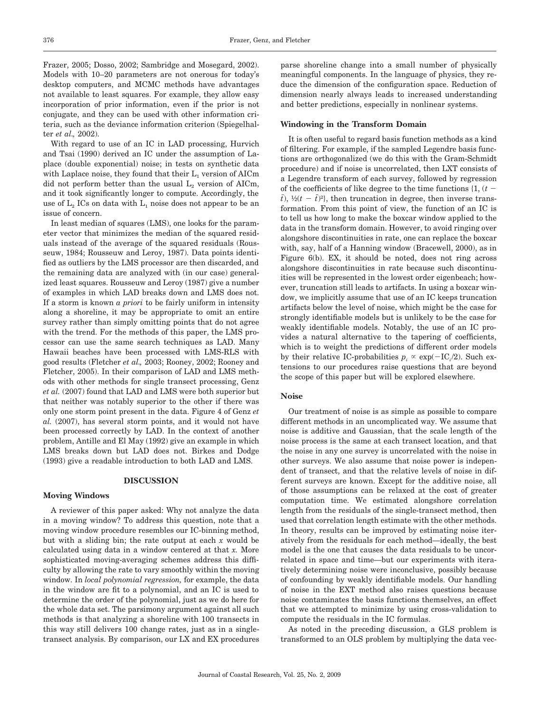Frazer, 2005; Dosso, 2002; Sambridge and Mosegard, 2002). Models with 10–20 parameters are not onerous for today's desktop computers, and MCMC methods have advantages not available to least squares. For example, they allow easy incorporation of prior information, even if the prior is not conjugate, and they can be used with other information criteria, such as the deviance information criterion (Spiegelhalter *et al.,* 2002).

With regard to use of an IC in LAD processing, Hurvich and Tsai (1990) derived an IC under the assumption of Laplace (double exponential) noise; in tests on synthetic data with Laplace noise, they found that their  $L_1$  version of AICm did not perform better than the usual  $L_2$  version of AICm, and it took significantly longer to compute. Accordingly, the use of  $L_2$  ICs on data with  $L_1$  noise does not appear to be an issue of concern.

In least median of squares (LMS), one looks for the parameter vector that minimizes the median of the squared residuals instead of the average of the squared residuals (Rousseuw, 1984; Rousseuw and Leroy, 1987). Data points identified as outliers by the LMS processor are then discarded, and the remaining data are analyzed with (in our case) generalized least squares. Rousseuw and Leroy (1987) give a number of examples in which LAD breaks down and LMS does not. If a storm is known *a priori* to be fairly uniform in intensity along a shoreline, it may be appropriate to omit an entire survey rather than simply omitting points that do not agree with the trend. For the methods of this paper, the LMS processor can use the same search techniques as LAD. Many Hawaii beaches have been processed with LMS-RLS with good results (Fletcher *et al.,* 2003; Rooney, 2002; Rooney and Fletcher, 2005). In their comparison of LAD and LMS methods with other methods for single transect processing, Genz *et al.* (2007) found that LAD and LMS were both superior but that neither was notably superior to the other if there was only one storm point present in the data. Figure 4 of Genz *et al.* (2007), has several storm points, and it would not have been processed correctly by LAD. In the context of another problem, Antille and El May (1992) give an example in which LMS breaks down but LAD does not. Birkes and Dodge (1993) give a readable introduction to both LAD and LMS.

# **DISCUSSION**

#### **Moving Windows**

A reviewer of this paper asked: Why not analyze the data in a moving window? To address this question, note that a moving window procedure resembles our IC-binning method, but with a sliding bin; the rate output at each *x* would be calculated using data in a window centered at that *x.* More sophisticated moving-averaging schemes address this difficulty by allowing the rate to vary smoothly within the moving window. In *local polynomial regression,* for example, the data in the window are fit to a polynomial, and an IC is used to determine the order of the polynomial, just as we do here for the whole data set. The parsimony argument against all such methods is that analyzing a shoreline with 100 transects in this way still delivers 100 change rates, just as in a singletransect analysis. By comparison, our LX and EX procedures

parse shoreline change into a small number of physically meaningful components. In the language of physics, they reduce the dimension of the configuration space. Reduction of dimension nearly always leads to increased understanding and better predictions, especially in nonlinear systems.

# **Windowing in the Transform Domain**

It is often useful to regard basis function methods as a kind of filtering. For example, if the sampled Legendre basis functions are orthogonalized (we do this with the Gram-Schmidt procedure) and if noise is uncorrelated, then LXT consists of a Legendre transform of each survey, followed by regression of the coefficients of like degree to the time functions  $\{1, (t \bar{t}$ ), ½ $(t - \bar{t})^2$ , then truncation in degree, then inverse transformation. From this point of view, the function of an IC is to tell us how long to make the boxcar window applied to the data in the transform domain. However, to avoid ringing over alongshore discontinuities in rate, one can replace the boxcar with, say, half of a Hanning window (Bracewell, 2000), as in Figure 6(b). EX, it should be noted, does not ring across alongshore discontinuities in rate because such discontinuities will be represented in the lowest order eigenbeach; however, truncation still leads to artifacts. In using a boxcar window, we implicitly assume that use of an IC keeps truncation artifacts below the level of noise, which might be the case for strongly identifiable models but is unlikely to be the case for weakly identifiable models. Notably, the use of an IC provides a natural alternative to the tapering of coefficients, which is to weight the predictions of different order models by their relative IC-probabilities  $p_i \propto \exp(-IC_i/2)$ . Such extensions to our procedures raise questions that are beyond the scope of this paper but will be explored elsewhere.

## **Noise**

Our treatment of noise is as simple as possible to compare different methods in an uncomplicated way. We assume that noise is additive and Gaussian, that the scale length of the noise process is the same at each transect location, and that the noise in any one survey is uncorrelated with the noise in other surveys. We also assume that noise power is independent of transect, and that the relative levels of noise in different surveys are known. Except for the additive noise, all of those assumptions can be relaxed at the cost of greater computation time. We estimated alongshore correlation length from the residuals of the single-transect method, then used that correlation length estimate with the other methods. In theory, results can be improved by estimating noise iteratively from the residuals for each method—ideally, the best model is the one that causes the data residuals to be uncorrelated in space and time—but our experiments with iteratively determining noise were inconclusive, possibly because of confounding by weakly identifiable models. Our handling of noise in the EXT method also raises questions because noise contaminates the basis functions themselves, an effect that we attempted to minimize by using cross-validation to compute the residuals in the IC formulas.

As noted in the preceding discussion, a GLS problem is transformed to an OLS problem by multiplying the data vec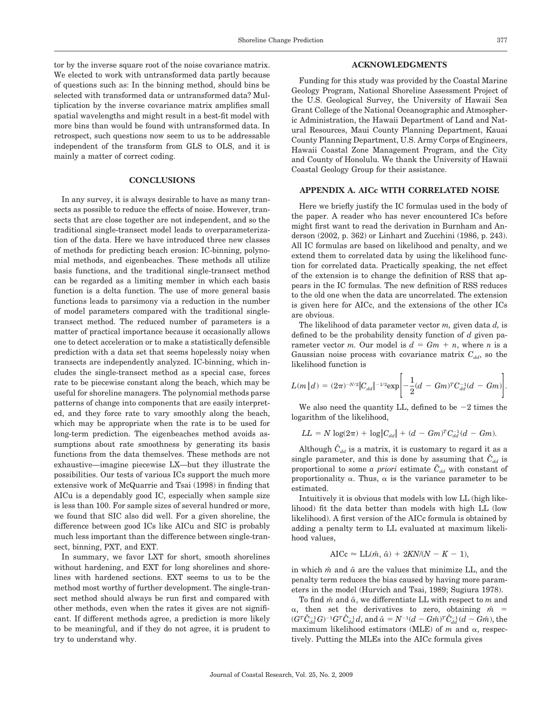tor by the inverse square root of the noise covariance matrix. We elected to work with untransformed data partly because of questions such as: In the binning method, should bins be selected with transformed data or untransformed data? Multiplication by the inverse covariance matrix amplifies small spatial wavelengths and might result in a best-fit model with more bins than would be found with untransformed data. In retrospect, such questions now seem to us to be addressable independent of the transform from GLS to OLS, and it is mainly a matter of correct coding.

# **CONCLUSIONS**

In any survey, it is always desirable to have as many transects as possible to reduce the effects of noise. However, transects that are close together are not independent, and so the traditional single-transect model leads to overparameterization of the data. Here we have introduced three new classes of methods for predicting beach erosion: IC-binning, polynomial methods, and eigenbeaches. These methods all utilize basis functions, and the traditional single-transect method can be regarded as a limiting member in which each basis function is a delta function. The use of more general basis functions leads to parsimony via a reduction in the number of model parameters compared with the traditional singletransect method. The reduced number of parameters is a matter of practical importance because it occasionally allows one to detect acceleration or to make a statistically defensible prediction with a data set that seems hopelessly noisy when transects are independently analyzed. IC-binning, which includes the single-transect method as a special case, forces rate to be piecewise constant along the beach, which may be useful for shoreline managers. The polynomial methods parse patterns of change into components that are easily interpreted, and they force rate to vary smoothly along the beach, which may be appropriate when the rate is to be used for long-term prediction. The eigenbeaches method avoids assumptions about rate smoothness by generating its basis functions from the data themselves. These methods are not exhaustive—imagine piecewise LX—but they illustrate the possibilities. Our tests of various ICs support the much more extensive work of McQuarrie and Tsai (1998) in finding that AICu is a dependably good IC, especially when sample size is less than 100. For sample sizes of several hundred or more, we found that SIC also did well. For a given shoreline, the difference between good ICs like AICu and SIC is probably much less important than the difference between single-transect, binning, PXT, and EXT.

In summary, we favor LXT for short, smooth shorelines without hardening, and EXT for long shorelines and shorelines with hardened sections. EXT seems to us to be the method most worthy of further development. The single-transect method should always be run first and compared with other methods, even when the rates it gives are not significant. If different methods agree, a prediction is more likely to be meaningful, and if they do not agree, it is prudent to try to understand why.

# **ACKNOWLEDGMENTS**

Funding for this study was provided by the Coastal Marine Geology Program, National Shoreline Assessment Project of the U.S. Geological Survey, the University of Hawaii Sea Grant College of the National Oceanographic and Atmospheric Administration, the Hawaii Department of Land and Natural Resources, Maui County Planning Department, Kauai County Planning Department, U.S. Army Corps of Engineers, Hawaii Coastal Zone Management Program, and the City and County of Honolulu. We thank the University of Hawaii Coastal Geology Group for their assistance.

## **APPENDIX A. AICc WITH CORRELATED NOISE**

Here we briefly justify the IC formulas used in the body of the paper. A reader who has never encountered ICs before might first want to read the derivation in Burnham and Anderson (2002, p. 362) or Linhart and Zucchini (1986, p. 243). All IC formulas are based on likelihood and penalty, and we extend them to correlated data by using the likelihood function for correlated data. Practically speaking, the net effect of the extension is to change the definition of RSS that appears in the IC formulas. The new definition of RSS reduces to the old one when the data are uncorrelated. The extension is given here for AICc, and the extensions of the other ICs are obvious.

The likelihood of data parameter vector *m,* given data *d,* is defined to be the probability density function of *d* given parameter vector *m*. Our model is  $d = Gm + n$ , where *n* is a Gaussian noise process with covariance matrix  $C_{dd}$ , so the likelihood function is

$$
L(m|d) = (2\pi)^{-N/2} |C_{dd}|^{-1/2} \exp \left[-\frac{1}{2}(d - Gm)^T C_{dd}^{-1}(d - Gm)\right].
$$

We also need the quantity LL, defined to be  $-2$  times the logarithm of the likelihood,

$$
LL = N \log(2\pi) + \log|C_{dd}| + (d - Gm)^T C_{dd}^{-1} (d - Gm).
$$

Although  $\hat{C}_{dd}$  is a matrix, it is customary to regard it as a single parameter, and this is done by assuming that  $\tilde{C}_{dd}$  is proportional to some *a priori* estimate  $\tilde{C}_{dd}$  with constant of proportionality  $\alpha$ . Thus,  $\alpha$  is the variance parameter to be estimated.

Intuitively it is obvious that models with low LL (high likelihood) fit the data better than models with high LL (low likelihood). A first version of the AICc formula is obtained by adding a penalty term to LL evaluated at maximum likelihood values,

$$
AICc \approx LL(\hat{m}, \hat{\alpha}) + 2KN/(N - K - 1),
$$

in which  $\hat{m}$  and  $\hat{\alpha}$  are the values that minimize LL, and the penalty term reduces the bias caused by having more parameters in the model (Hurvich and Tsai, 1989; Sugiura 1978).

To find  $\hat{m}$  and  $\hat{\alpha}$ , we differentiate LL with respect to  $m$  and  $\alpha$ , then set the derivatives to zero, obtaining  $\hat{m}$  =  $(G^T\tilde{C}_{dd}^{-1}G)^{-1}G^T\tilde{C}_{dd}^{-1}d,$  and  $\hat{\alpha}=N^{-1}(d-G\hat{m})^T\hat{C}_{dd}^{-1}(d-G\hat{m}),$  the maximum likelihood estimators (MLE) of  $m$  and  $\alpha$ , respectively. Putting the MLEs into the AICc formula gives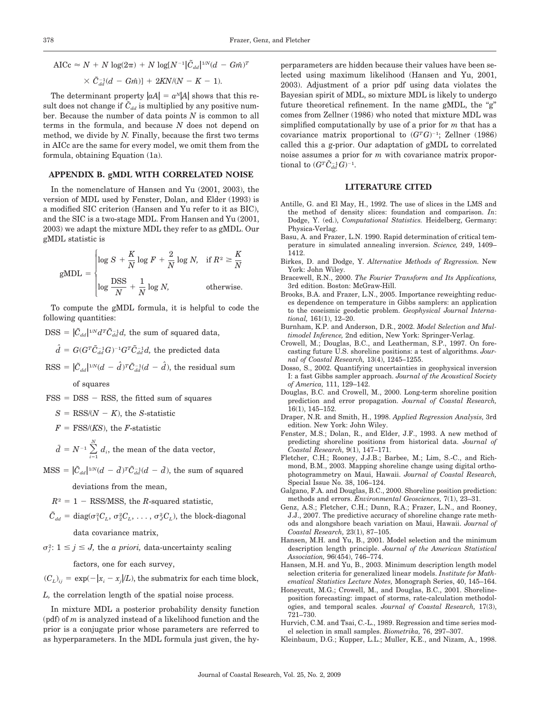AICc 
$$
\approx N + N \log(2\pi) + N \log[N^{-1}|\tilde{C}_{dd}|^{1/N}(d - G\hat{m})^T
$$
  
 $\times \tilde{C}_{dd}[(d - G\hat{m})] + 2KN/(N - K - 1).$ 

The determinant property  $|aA| = a^N|A|$  shows that this result does not change if  $C_{dd}$  is multiplied by any positive number. Because the number of data points *N* is common to all terms in the formula, and because *N* does not depend on method, we divide by *N.* Finally, because the first two terms in AICc are the same for every model, we omit them from the formula, obtaining Equation (1a).

# **APPENDIX B. gMDL WITH CORRELATED NOISE**

In the nomenclature of Hansen and Yu (2001, 2003), the version of MDL used by Fenster, Dolan, and Elder (1993) is a modified SIC criterion (Hansen and Yu refer to it as BIC), and the SIC is a two-stage MDL. From Hansen and Yu (2001, 2003) we adapt the mixture MDL they refer to as gMDL. Our gMDL statistic is

$$
gMDL = \begin{cases} \log S + \frac{K}{N} \log F + \frac{2}{N} \log N, & \text{if } R^2 \ge \frac{K}{N} \\ \log \frac{DSS}{N} + \frac{1}{N} \log N, & \text{otherwise.} \end{cases}
$$

To compute the gMDL formula, it is helpful to code the following quantities:

 $\text{DSS} = |\tilde{C}_{dd}|^{1/N} d^T \tilde{C}_{dd}^{-1} d$ , the sum of squared data,

 $\hat{d}$  =  $G(G^T \tilde{C}_{dd}^{-1} G)^{-1} G^T \tilde{C}_{dd}^{-1} d$ , the predicted data

 $\text{RSS} = |\tilde{C}_{dd}|^{1/N} (d - \hat{d})^T \tilde{C}_{dd}^{-1} (d - \hat{d}),$  the residual sum

of squares

 $FSS = DSS - RSS$ , the fitted sum of squares

 $S = \text{RSS}/(N - K)$ , the *S*-statistic

 $F = FSS/(KS)$ , the *F*-statistic

$$
\bar{d} = N^{-1} \sum_{i=1}^N d_i
$$
, the mean of the data vector,

 $\text{MSS} = |\tilde{C}_{dd}|^{1/N} (d - \bar{d})^T \tilde{C}_{dd}^{-1} (d - \bar{d}),$  the sum of squared

deviations from the mean,

- $R^2 = 1 -$  RSS/MSS, the *R*-squared statistic,
- $\tilde{C}_{dd}$  = diag( $\sigma_1^2 C_L$ ,  $\sigma_2^2 C_L$ , ...,  $\sigma_J^2 C_L$ ), the block-diagonal

data covariance matrix,

 $\sigma_j^2$ :  $1 \leq j \leq J$ , the *a priori*, data-uncertainty scaling

factors, one for each survey,

 $(C_L)_{ij} = \exp(-|x_i - x_j|)L$ , the submatrix for each time block,

*L,* the correlation length of the spatial noise process.

In mixture MDL a posterior probability density function (pdf) of *m* is analyzed instead of a likelihood function and the prior is a conjugate prior whose parameters are referred to as hyperparameters. In the MDL formula just given, the hy-

perparameters are hidden because their values have been selected using maximum likelihood (Hansen and Yu, 2001, 2003). Adjustment of a prior pdf using data violates the Bayesian spirit of MDL, so mixture MDL is likely to undergo future theoretical refinement. In the name gMDL, the "g" comes from Zellner (1986) who noted that mixture MDL was simplified computationally by use of a prior for *m* that has a covariance matrix proportional to  $(G<sup>T</sup>G)^{-1}$ ; Zellner (1986) called this a g-prior. Our adaptation of gMDL to correlated noise assumes a prior for *m* with covariance matrix proportional to  $(G^T \tilde{C}_{dd}^{-1} G)^{-1}$ .

## **LITERATURE CITED**

- Antille, G. and El May, H., 1992. The use of slices in the LMS and the method of density slices: foundation and comparison. *In*: Dodge, Y. (ed.), *Computational Statistics.* Heidelberg, Germany: Physica-Verlag.
- Basu, A. and Frazer, L.N. 1990. Rapid determination of critical temperature in simulated annealing inversion. *Science,* 249, 1409– 1412.
- Birkes, D. and Dodge, Y. *Alternative Methods of Regression.* New York: John Wiley.
- Bracewell, R.N., 2000. *The Fourier Transform and Its Applications,* 3rd edition. Boston: McGraw-Hill.
- Brooks, B.A. and Frazer, L.N., 2005. Importance reweighting reduces dependence on temperature in Gibbs samplers: an application to the coseismic geodetic problem. *Geophysical Journal International,* 161(1), 12–20.
- Burnham, K.P. and Anderson, D.R., 2002. *Model Selection and Multimodel Inference,* 2nd edition, New York: Springer-Verlag.
- Crowell, M.; Douglas, B.C., and Leatherman, S.P., 1997. On forecasting future U.S. shoreline positions: a test of algorithms. *Journal of Coastal Research,* 13(4), 1245–1255.
- Dosso, S., 2002. Quantifying uncertainties in geophysical inversion I: a fast Gibbs sampler approach. *Journal of the Acoustical Society of America,* 111, 129–142.
- Douglas, B.C. and Crowell, M., 2000. Long-term shoreline position prediction and error propagation. *Journal of Coastal Research,* 16(1), 145–152.
- Draper, N.R. and Smith, H., 1998. *Applied Regression Analysis,* 3rd edition. New York: John Wiley.
- Fenster, M.S.; Dolan, R., and Elder, J.F., 1993. A new method of predicting shoreline positions from historical data. *Journal of Coastal Research,* 9(1), 147–171.
- Fletcher, C.H.; Rooney, J.J.B.; Barbee, M.; Lim, S.-C., and Richmond, B.M., 2003. Mapping shoreline change using digital orthophotogrammetry on Maui, Hawaii. *Journal of Coastal Research,* Special Issue No. 38, 106–124.
- Galgano, F.A. and Douglas, B.C., 2000. Shoreline position prediction: methods and errors. *Environmental Geosciences,* 7(1), 23–31.
- Genz, A.S.; Fletcher, C.H.; Dunn, R.A.; Frazer, L.N., and Rooney, J.J., 2007. The predictive accuracy of shoreline change rate methods and alongshore beach variation on Maui, Hawaii. *Journal of Coastal Research,* 23(1), 87–105.
- Hansen, M.H. and Yu, B., 2001. Model selection and the minimum description length principle. *Journal of the American Statistical Association,* 96(454), 746–774.
- Hansen, M.H. and Yu, B., 2003. Minimum description length model selection criteria for generalized linear models. *Institute for Mathematical Statistics Lecture Notes,* Monograph Series, 40, 145–164.
- Honeycutt, M.G.; Crowell, M., and Douglas, B.C., 2001. Shorelineposition forecasting: impact of storms, rate-calculation methodologies, and temporal scales. *Journal of Coastal Research,* 17(3), 721–730.
- Hurvich, C.M. and Tsai, C.-L., 1989. Regression and time series model selection in small samples. *Biometrika,* 76, 297–307.
- Kleinbaum, D.G.; Kupper, L.L.; Muller, K.E., and Nizam, A., 1998.